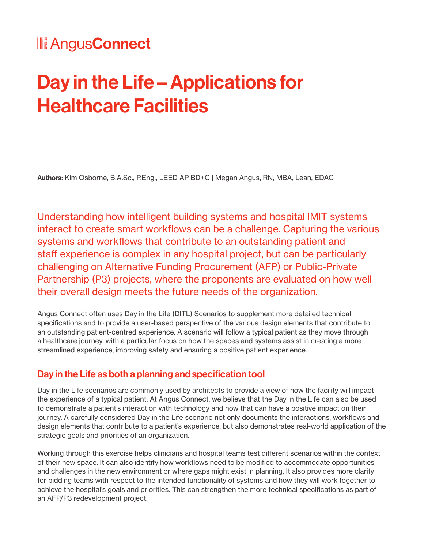### **MAngusConnect**

# Day in the Life – Applications for Healthcare Facilities

Authors: Kim Osborne, B.A.Sc., P.Eng., LEED AP BD+C | Megan Angus, RN, MBA, Lean, EDAC

Understanding how intelligent building systems and hospital IMIT systems interact to create smart workflows can be a challenge. Capturing the various systems and workflows that contribute to an outstanding patient and staff experience is complex in any hospital project, but can be particularly challenging on Alternative Funding Procurement (AFP) or Public-Private Partnership (P3) projects, where the proponents are evaluated on how well their overall design meets the future needs of the organization.

Angus Connect often uses Day in the Life (DITL) Scenarios to supplement more detailed technical specifications and to provide a user-based perspective of the various design elements that contribute to an outstanding patient-centred experience. A scenario will follow a typical patient as they move through a healthcare journey, with a particular focus on how the spaces and systems assist in creating a more streamlined experience, improving safety and ensuring a positive patient experience.

#### Day in the Life as both a planning and specification tool

Day in the Life scenarios are commonly used by architects to provide a view of how the facility will impact the experience of a typical patient. At Angus Connect, we believe that the Day in the Life can also be used to demonstrate a patient's interaction with technology and how that can have a positive impact on their journey. A carefully considered Day in the Life scenario not only documents the interactions, workflows and design elements that contribute to a patient's experience, but also demonstrates real-world application of the strategic goals and priorities of an organization.

Working through this exercise helps clinicians and hospital teams test different scenarios within the context of their new space. It can also identify how workflows need to be modified to accommodate opportunities and challenges in the new environment or where gaps might exist in planning. It also provides more clarity for bidding teams with respect to the intended functionality of systems and how they will work together to achieve the hospital's goals and priorities. This can strengthen the more technical specifications as part of an AFP/P3 redevelopment project.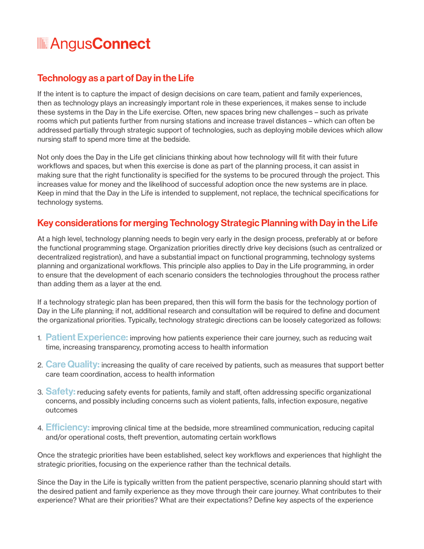### **MAngusConnect**

#### Technology as a part of Day in the Life

If the intent is to capture the impact of design decisions on care team, patient and family experiences, then as technology plays an increasingly important role in these experiences, it makes sense to include these systems in the Day in the Life exercise. Often, new spaces bring new challenges – such as private rooms which put patients further from nursing stations and increase travel distances – which can often be addressed partially through strategic support of technologies, such as deploying mobile devices which allow nursing staff to spend more time at the bedside.

Not only does the Day in the Life get clinicians thinking about how technology will fit with their future workflows and spaces, but when this exercise is done as part of the planning process, it can assist in making sure that the right functionality is specified for the systems to be procured through the project. This increases value for money and the likelihood of successful adoption once the new systems are in place. Keep in mind that the Day in the Life is intended to supplement, not replace, the technical specifications for technology systems.

#### Key considerations for merging Technology Strategic Planning with Day in the Life

At a high level, technology planning needs to begin very early in the design process, preferably at or before the functional programming stage. Organization priorities directly drive key decisions (such as centralized or decentralized registration), and have a substantial impact on functional programming, technology systems planning and organizational workflows. This principle also applies to Day in the Life programming, in order to ensure that the development of each scenario considers the technologies throughout the process rather than adding them as a layer at the end.

If a technology strategic plan has been prepared, then this will form the basis for the technology portion of Day in the Life planning; if not, additional research and consultation will be required to define and document the organizational priorities. Typically, technology strategic directions can be loosely categorized as follows:

- 1. Patient Experience: improving how patients experience their care journey, such as reducing wait time, increasing transparency, promoting access to health information
- 2. Care Quality: increasing the quality of care received by patients, such as measures that support better care team coordination, access to health information
- 3. Safety: reducing safety events for patients, family and staff, often addressing specific organizational concerns, and possibly including concerns such as violent patients, falls, infection exposure, negative outcomes
- 4. **Efficiency:** improving clinical time at the bedside, more streamlined communication, reducing capital and/or operational costs, theft prevention, automating certain workflows

Once the strategic priorities have been established, select key workflows and experiences that highlight the strategic priorities, focusing on the experience rather than the technical details.

Since the Day in the Life is typically written from the patient perspective, scenario planning should start with the desired patient and family experience as they move through their care journey. What contributes to their experience? What are their priorities? What are their expectations? Define key aspects of the experience